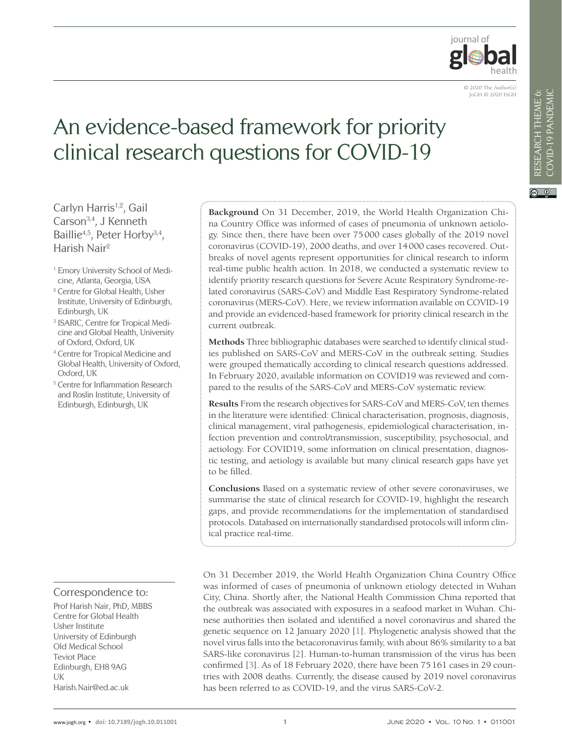

# An evidence-based framework for priority clinical research questions for COVID-19

Carlyn Harris<sup>1,2</sup>, Gail Carson3,4, J Kenneth Baillie<sup>4,5</sup>, Peter Horby<sup>3,4</sup>, Harish Nair2

- <sup>1</sup> Emory University School of Medicine, Atlanta, Georgia, USA
- <sup>2</sup> Centre for Global Health, Usher Institute, University of Edinburgh, Edinburgh, UK
- <sup>3</sup> ISARIC, Centre for Tropical Medicine and Global Health, University of Oxford, Oxford, UK
- <sup>4</sup> Centre for Tropical Medicine and Global Health, University of Oxford, Oxford, UK
- <sup>5</sup> Centre for Inflammation Research and Roslin Institute, University of Edinburgh, Edinburgh, UK

#### Correspondence to:

Prof Harish Nair, PhD, MBBS Centre for Global Health Usher Institute University of Edinburgh Old Medical School Teviot Place Edinburgh, EH8 9AG UK Harish.Nair@ed.ac.uk

**Background** On 31 December, 2019, the World Health Organization China Country Office was informed of cases of pneumonia of unknown aetiology. Since then, there have been over 75000 cases globally of the 2019 novel coronavirus (COVID-19), 2000 deaths, and over 14000 cases recovered. Outbreaks of novel agents represent opportunities for clinical research to inform real-time public health action. In 2018, we conducted a systematic review to identify priority research questions for Severe Acute Respiratory Syndrome-related coronavirus (SARS-CoV) and Middle East Respiratory Syndrome-related coronavirus (MERS-CoV). Here, we review information available on COVID-19 and provide an evidenced-based framework for priority clinical research in the current outbreak.

**Methods** Three bibliographic databases were searched to identify clinical studies published on SARS-CoV and MERS-CoV in the outbreak setting. Studies were grouped thematically according to clinical research questions addressed. In February 2020, available information on COVID19 was reviewed and compared to the results of the SARS-CoV and MERS-CoV systematic review.

**Results** From the research objectives for SARS-CoV and MERS-CoV, ten themes in the literature were identified: Clinical characterisation, prognosis, diagnosis, clinical management, viral pathogenesis, epidemiological characterisation, infection prevention and control/transmission, susceptibility, psychosocial, and aetiology. For COVID19, some information on clinical presentation, diagnostic testing, and aetiology is available but many clinical research gaps have yet to be filled.

**Conclusions** Based on a systematic review of other severe coronaviruses, we summarise the state of clinical research for COVID-19, highlight the research gaps, and provide recommendations for the implementation of standardised protocols. Databased on internationally standardised protocols will inform clinical practice real-time.

On 31 December 2019, the World Health Organization China Country Office was informed of cases of pneumonia of unknown etiology detected in Wuhan City, China. Shortly after, the National Health Commission China reported that the outbreak was associated with exposures in a seafood market in Wuhan. Chinese authorities then isolated and identified a novel coronavirus and shared the genetic sequence on 12 January 2020 [[1](#page-8-0)]. Phylogenetic analysis showed that the novel virus falls into the betacoronavirus family, with about 86% similarity to a bat SARS-like coronavirus [[2](#page-8-1)]. Human-to-human transmission of the virus has been confirmed [[3](#page-8-2)]. As of 18 February 2020, there have been 75161 cases in 29 countries with 2008 deaths. Currently, the disease caused by 2019 novel coronavirus has been referred to as COVID-19, and the virus SARS-CoV-2.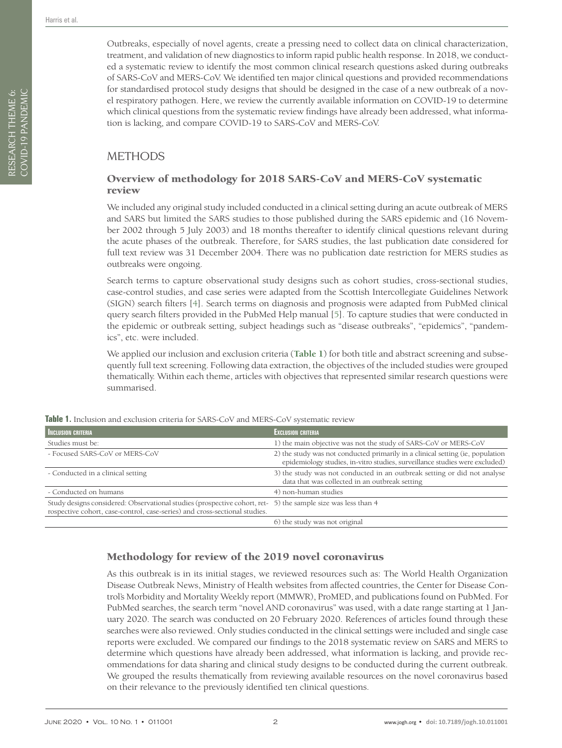Outbreaks, especially of novel agents, create a pressing need to collect data on clinical characterization, treatment, and validation of new diagnostics to inform rapid public health response. In 2018, we conducted a systematic review to identify the most common clinical research questions asked during outbreaks of SARS-CoV and MERS-CoV. We identified ten major clinical questions and provided recommendations for standardised protocol study designs that should be designed in the case of a new outbreak of a novel respiratory pathogen. Here, we review the currently available information on COVID-19 to determine which clinical questions from the systematic review findings have already been addressed, what information is lacking, and compare COVID-19 to SARS-CoV and MERS-CoV.

# METHODS

# Overview of methodology for 2018 SARS-CoV and MERS-CoV systematic review

We included any original study included conducted in a clinical setting during an acute outbreak of MERS and SARS but limited the SARS studies to those published during the SARS epidemic and (16 November 2002 through 5 July 2003) and 18 months thereafter to identify clinical questions relevant during the acute phases of the outbreak. Therefore, for SARS studies, the last publication date considered for full text review was 31 December 2004. There was no publication date restriction for MERS studies as outbreaks were ongoing.

Search terms to capture observational study designs such as cohort studies, cross-sectional studies, case-control studies, and case series were adapted from the Scottish Intercollegiate Guidelines Network (SIGN) search filters [\[4](#page-8-3)]. Search terms on diagnosis and prognosis were adapted from PubMed clinical query search filters provided in the PubMed Help manual [[5](#page-8-4)]. To capture studies that were conducted in the epidemic or outbreak setting, subject headings such as "disease outbreaks", "epidemics", "pandemics", etc. were included.

We applied our inclusion and exclusion criteria (**[Table 1](#page-1-0)**) for both title and abstract screening and subsequently full text screening. Following data extraction, the objectives of the included studies were grouped thematically. Within each theme, articles with objectives that represented similar research questions were summarised.

data that was collected in an outbreak setting

5) the sample size was less than 4

6) the study was not original

| <b>MINE IT INCREDIVIT AIRE CACREDIVIT CHRISTIA TOT SETTLE COV AIRE INLERS COV SYSTEMMER TEVIEW</b> |                                                                                                                                                               |  |
|----------------------------------------------------------------------------------------------------|---------------------------------------------------------------------------------------------------------------------------------------------------------------|--|
| INCLUSION CRITERIA                                                                                 | <b>EXCLUSION CRITERIA</b>                                                                                                                                     |  |
| Studies must be:                                                                                   | 1) the main objective was not the study of SARS-CoV or MERS-CoV                                                                                               |  |
| - Focused SARS-CoV or MERS-CoV                                                                     | 2) the study was not conducted primarily in a clinical setting (ie, population<br>epidemiology studies, in-vitro studies, surveillance studies were excluded) |  |

- Conducted in a clinical setting 3) the study was not conducted in an outbreak setting or did not analyse

<span id="page-1-0"></span>**Table 1.** Inclusion and exclusion criteria for SARS-CoV and MERS-CoV systematic review

- Conducted on humans 4) non-human studies

Study designs considered: Observational studies (prospective cohort, retrospective cohort, case-control, case-series) and cross-sectional studies.

#### Methodology for review of the 2019 novel coronavirus

As this outbreak is in its initial stages, we reviewed resources such as: The World Health Organization Disease Outbreak News, Ministry of Health websites from affected countries, the Center for Disease Control's Morbidity and Mortality Weekly report (MMWR), ProMED, and publications found on PubMed. For PubMed searches, the search term "novel AND coronavirus" was used, with a date range starting at 1 January 2020. The search was conducted on 20 February 2020. References of articles found through these searches were also reviewed. Only studies conducted in the clinical settings were included and single case reports were excluded. We compared our findings to the 2018 systematic review on SARS and MERS to determine which questions have already been addressed, what information is lacking, and provide recommendations for data sharing and clinical study designs to be conducted during the current outbreak. We grouped the results thematically from reviewing available resources on the novel coronavirus based on their relevance to the previously identified ten clinical questions.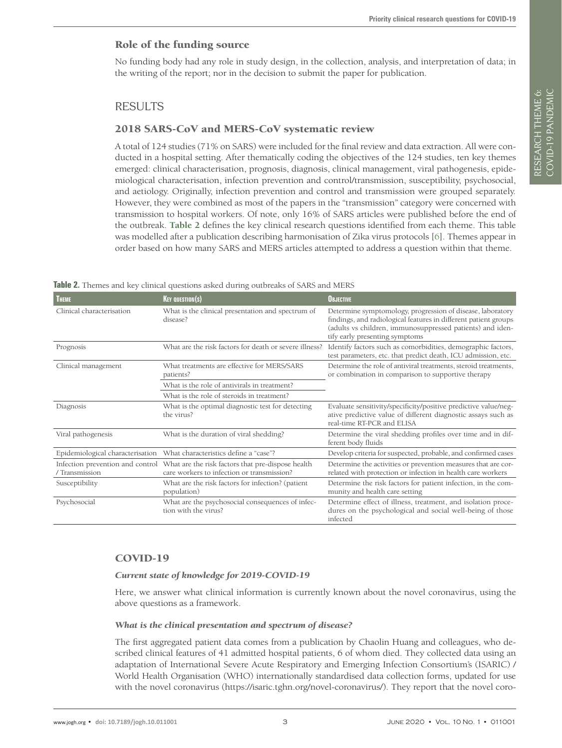# Role of the funding source

No funding body had any role in study design, in the collection, analysis, and interpretation of data; in the writing of the report; nor in the decision to submit the paper for publication.

# RESULTS

#### 2018 SARS-CoV and MERS-CoV systematic review

A total of 124 studies (71% on SARS) were included for the final review and data extraction. All were conducted in a hospital setting. After thematically coding the objectives of the 124 studies, ten key themes emerged: clinical characterisation, prognosis, diagnosis, clinical management, viral pathogenesis, epidemiological characterisation, infection prevention and control/transmission, susceptibility, psychosocial, and aetiology. Originally, infection prevention and control and transmission were grouped separately. However, they were combined as most of the papers in the "transmission" category were concerned with transmission to hospital workers. Of note, only 16% of SARS articles were published before the end of the outbreak. **[Table 2](#page-2-0)** defines the key clinical research questions identified from each theme. This table was modelled after a publication describing harmonisation of Zika virus protocols [\[6\]](#page-8-5). Themes appear in order based on how many SARS and MERS articles attempted to address a question within that theme.

| <b>THEME</b>                     | <b>KEY QUESTION(S)</b>                                                                                                           | <b>OBJECTIVE</b>                                                                                                                                                                                                             |
|----------------------------------|----------------------------------------------------------------------------------------------------------------------------------|------------------------------------------------------------------------------------------------------------------------------------------------------------------------------------------------------------------------------|
| Clinical characterisation        | What is the clinical presentation and spectrum of<br>disease?                                                                    | Determine symptomology, progression of disease, laboratory<br>findings, and radiological features in different patient groups<br>(adults vs children, immunosuppressed patients) and iden-<br>tify early presenting symptoms |
| Prognosis                        | What are the risk factors for death or severe illness?                                                                           | Identify factors such as comorbidities, demographic factors,<br>test parameters, etc. that predict death, ICU admission, etc.                                                                                                |
| Clinical management              | What treatments are effective for MERS/SARS<br>patients?                                                                         | Determine the role of antiviral treatments, steroid treatments,<br>or combination in comparison to supportive therapy                                                                                                        |
|                                  | What is the role of antivirals in treatment?                                                                                     |                                                                                                                                                                                                                              |
|                                  | What is the role of steroids in treatment?                                                                                       |                                                                                                                                                                                                                              |
| Diagnosis                        | What is the optimal diagnostic test for detecting<br>the virus?                                                                  | Evaluate sensitivity/specificity/positive predictive value/neg-<br>ative predictive value of different diagnostic assays such as<br>real-time RT-PCR and ELISA                                                               |
| Viral pathogenesis               | What is the duration of viral shedding?                                                                                          | Determine the viral shedding profiles over time and in dif-<br>ferent body fluids                                                                                                                                            |
| Epidemiological characterisation | What characteristics define a "case"?                                                                                            | Develop criteria for suspected, probable, and confirmed cases                                                                                                                                                                |
| / Transmission                   | Infection prevention and control What are the risk factors that pre-dispose health<br>care workers to infection or transmission? | Determine the activities or prevention measures that are cor-<br>related with protection or infection in health care workers                                                                                                 |
| Susceptibility                   | What are the risk factors for infection? (patient<br>population)                                                                 | Determine the risk factors for patient infection, in the com-<br>munity and health care setting                                                                                                                              |
| Psychosocial                     | What are the psychosocial consequences of infec-<br>tion with the virus?                                                         | Determine effect of illness, treatment, and isolation proce-<br>dures on the psychological and social well-being of those<br>infected                                                                                        |

<span id="page-2-0"></span>**Table 2.** Themes and key clinical questions asked during outbreaks of SARS and MERS

#### COVID-19

#### *Current state of knowledge for 2019-COVID-19*

Here, we answer what clinical information is currently known about the novel coronavirus, using the above questions as a framework.

#### *What is the clinical presentation and spectrum of disease?*

The first aggregated patient data comes from a publication by Chaolin Huang and colleagues, who described clinical features of 41 admitted hospital patients, 6 of whom died. They collected data using an adaptation of International Severe Acute Respiratory and Emerging Infection Consortium's (ISARIC) / World Health Organisation (WHO) internationally standardised data collection forms, updated for use with the novel coronavirus [\(https://isaric.tghn.org/novel-coronavirus/\)](https://isaric.tghn.org/novel-coronavirus/). They report that the novel coro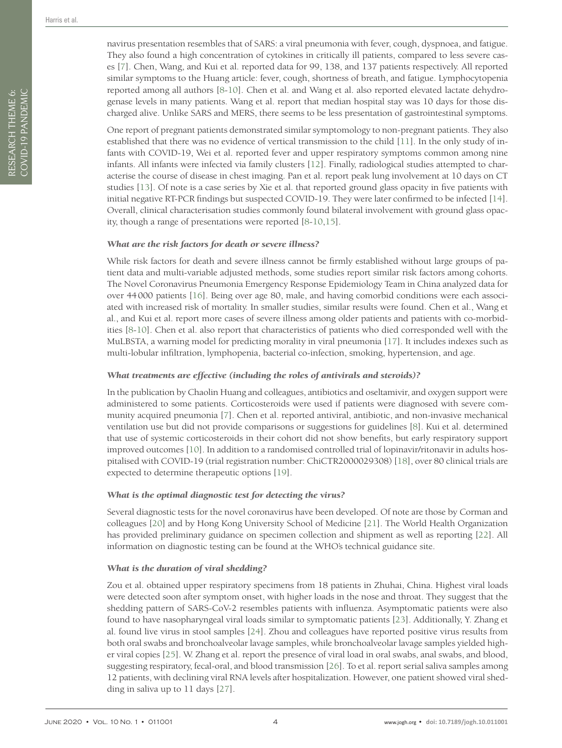RESEARCH THEME 6: COVID-19 PANDEMIC

RESEARCH THEME 6:<br>COVID-19 PANDEMIC

navirus presentation resembles that of SARS: a viral pneumonia with fever, cough, dyspnoea, and fatigue. They also found a high concentration of cytokines in critically ill patients, compared to less severe cases [[7](#page-8-6)]. Chen, Wang, and Kui et al. reported data for 99, 138, and 137 patients respectively. All reported similar symptoms to the Huang article: fever, cough, shortness of breath, and fatigue. Lymphocytopenia reported among all authors [[8](#page-8-7)[-10](#page-8-8)]. Chen et al. and Wang et al. also reported elevated lactate dehydrogenase levels in many patients. Wang et al. report that median hospital stay was 10 days for those discharged alive. Unlike SARS and MERS, there seems to be less presentation of gastrointestinal symptoms.

One report of pregnant patients demonstrated similar symptomology to non-pregnant patients. They also established that there was no evidence of vertical transmission to the child [[11](#page-8-9)]. In the only study of infants with COVID-19, Wei et al. reported fever and upper respiratory symptoms common among nine infants. All infants were infected via family clusters [[12](#page-8-10)]. Finally, radiological studies attempted to characterise the course of disease in chest imaging. Pan et al. report peak lung involvement at 10 days on CT studies [[13](#page-8-11)]. Of note is a case series by Xie et al. that reported ground glass opacity in five patients with initial negative RT-PCR findings but suspected COVID-19. They were later confirmed to be infected [[14](#page-8-12)]. Overall, clinical characterisation studies commonly found bilateral involvement with ground glass opacity, though a range of presentations were reported [[8](#page-8-7)[-10](#page-8-8),[15](#page-8-13)].

#### *What are the risk factors for death or severe illness?*

While risk factors for death and severe illness cannot be firmly established without large groups of patient data and multi-variable adjusted methods, some studies report similar risk factors among cohorts. The Novel Coronavirus Pneumonia Emergency Response Epidemiology Team in China analyzed data for over 44000 patients [[16\]](#page-8-14). Being over age 80, male, and having comorbid conditions were each associated with increased risk of mortality. In smaller studies, similar results were found. Chen et al., Wang et al., and Kui et al. report more cases of severe illness among older patients and patients with co-morbidities [\[8](#page-8-7)-[10](#page-8-8)]. Chen et al. also report that characteristics of patients who died corresponded well with the MuLBSTA, a warning model for predicting morality in viral pneumonia [[17](#page-8-15)]. It includes indexes such as multi-lobular infiltration, lymphopenia, bacterial co-infection, smoking, hypertension, and age.

#### *What treatments are effective (including the roles of antivirals and steroids)?*

In the publication by Chaolin Huang and colleagues, antibiotics and oseltamivir, and oxygen support were administered to some patients. Corticosteroids were used if patients were diagnosed with severe community acquired pneumonia [[7](#page-8-6)]. Chen et al. reported antiviral, antibiotic, and non-invasive mechanical ventilation use but did not provide comparisons or suggestions for guidelines [[8](#page-8-7)]. Kui et al. determined that use of systemic corticosteroids in their cohort did not show benefits, but early respiratory support improved outcomes [[10](#page-8-8)]. In addition to a randomised controlled trial of lopinavir/ritonavir in adults hospitalised with COVID-19 (trial registration number: ChiCTR2000029308) [\[18\]](#page-8-16), over 80 clinical trials are expected to determine therapeutic options [[19\]](#page-8-17).

#### *What is the optimal diagnostic test for detecting the virus?*

Several diagnostic tests for the novel coronavirus have been developed. Of note are those by Corman and colleagues [[20](#page-8-18)] and by Hong Kong University School of Medicine [[21\]](#page-9-0). The World Health Organization has provided preliminary guidance on specimen collection and shipment as well as reporting [[22](#page-9-1)]. All information on diagnostic testing can be found at the [WHO's technical guidance site](https://www.who.int/emergencies/diseases/novel-coronavirus-2019/technical-guidance/laboratory-guidance).

#### *What is the duration of viral shedding?*

Zou et al. obtained upper respiratory specimens from 18 patients in Zhuhai, China. Highest viral loads were detected soon after symptom onset, with higher loads in the nose and throat. They suggest that the shedding pattern of SARS-CoV-2 resembles patients with influenza. Asymptomatic patients were also found to have nasopharyngeal viral loads similar to symptomatic patients [[23](#page-9-2)]. Additionally, Y. Zhang et al. found live virus in stool samples [\[24](#page-9-3)]. Zhou and colleagues have reported positive virus results from both oral swabs and bronchoalveolar lavage samples, while bronchoalveolar lavage samples yielded higher viral copies [[25](#page-9-4)]. W. Zhang et al. report the presence of viral load in oral swabs, anal swabs, and blood, suggesting respiratory, fecal-oral, and blood transmission [[26](#page-9-5)]. To et al. report serial saliva samples among 12 patients, with declining viral RNA levels after hospitalization. However, one patient showed viral shedding in saliva up to 11 days [[27](#page-9-6)].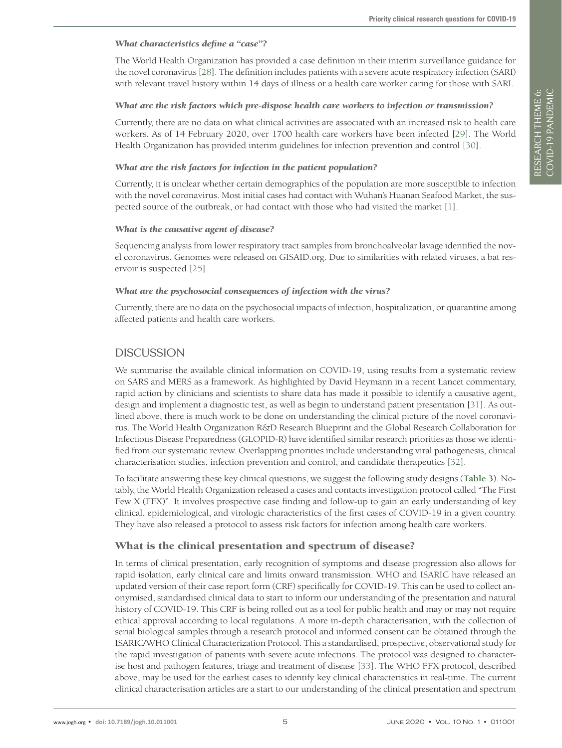#### *What characteristics define a "case"?*

The World Health Organization has provided a case definition in their interim surveillance guidance for the novel coronavirus [[28](#page-9-7)]. The definition includes patients with a severe acute respiratory infection (SARI) with relevant travel history within 14 days of illness or a health care worker caring for those with SARI.

#### *What are the risk factors which pre-dispose health care workers to infection or transmission?*

Currently, there are no data on what clinical activities are associated with an increased risk to health care workers. As of 14 February 2020, over 1700 health care workers have been infected [[29](#page-9-8)]. The World Health Organization has provided interim guidelines for infection prevention and control [[30](#page-9-9)].

#### *What are the risk factors for infection in the patient population?*

Currently, it is unclear whether certain demographics of the population are more susceptible to infection with the novel coronavirus. Most initial cases had contact with Wuhan's Huanan Seafood Market, the suspected source of the outbreak, or had contact with those who had visited the market [[1\]](#page-8-0).

#### *What is the causative agent of disease?*

Sequencing analysis from lower respiratory tract samples from bronchoalveolar lavage identified the novel coronavirus. Genomes were released on GISAID.org. Due to similarities with related viruses, a bat reservoir is suspected [[25\]](#page-9-4).

#### *What are the psychosocial consequences of infection with the virus?*

Currently, there are no data on the psychosocial impacts of infection, hospitalization, or quarantine among affected patients and health care workers.

# DISCUSSION

We summarise the available clinical information on COVID-19, using results from a systematic review on SARS and MERS as a framework. As highlighted by David Heymann in a recent Lancet commentary, rapid action by clinicians and scientists to share data has made it possible to identify a causative agent, design and implement a diagnostic test, as well as begin to understand patient presentation [[31](#page-9-10)]. As outlined above, there is much work to be done on understanding the clinical picture of the novel coronavirus. The World Health Organization R&D Research Blueprint and the Global Research Collaboration for Infectious Disease Preparedness (GLOPID-R) have identified similar research priorities as those we identified from our systematic review. Overlapping priorities include understanding viral pathogenesis, clinical characterisation studies, infection prevention and control, and candidate therapeutics [[32](#page-9-11)].

To facilitate answering these key clinical questions, we suggest the following study designs (**[Table 3](#page-5-0)**). Notably, the World Health Organization released a cases and contacts investigation protocol called "The First Few X (FFX)". It involves prospective case finding and follow-up to gain an early understanding of key clinical, epidemiological, and virologic characteristics of the first cases of COVID-19 in a given country. They have also released a protocol to assess risk factors for infection among health care workers.

# What is the clinical presentation and spectrum of disease?

In terms of clinical presentation, early recognition of symptoms and disease progression also allows for rapid isolation, early clinical care and limits onward transmission. WHO and ISARIC have released an updated version of their case report form (CRF) specifically for COVID-19. This can be used to collect anonymised, standardised clinical data to start to inform our understanding of the presentation and natural history of COVID-19. This CRF is being rolled out as a tool for public health and may or may not require ethical approval according to local regulations. A more in-depth characterisation, with the collection of serial biological samples through a research protocol and informed consent can be obtained through the ISARIC/WHO Clinical Characterization Protocol. This a standardised, prospective, observational study for the rapid investigation of patients with severe acute infections. The protocol was designed to characterise host and pathogen features, triage and treatment of disease [[33](#page-9-12)]. The WHO FFX protocol, described above, may be used for the earliest cases to identify key clinical characteristics in real-time. The current clinical characterisation articles are a start to our understanding of the clinical presentation and spectrum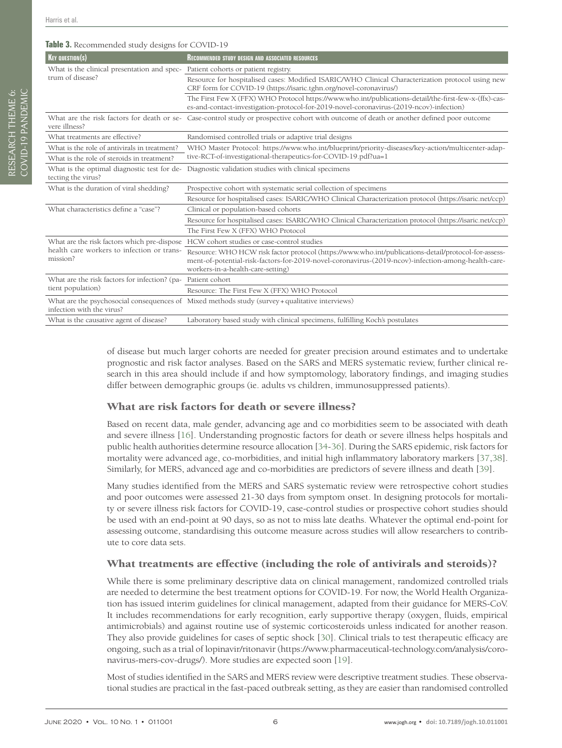#### <span id="page-5-0"></span>**Table 3.** Recommended study designs for COVID-19

| $\mathbf{r}$ . Recommended states acsigns for $\mathbf{c} \circ \mathbf{r}$                           |                                                                                                                                                                                                                                                 |  |
|-------------------------------------------------------------------------------------------------------|-------------------------------------------------------------------------------------------------------------------------------------------------------------------------------------------------------------------------------------------------|--|
| $Ker$ <b>avestion(s)</b>                                                                              | <b>RECOMMENDED STUDY DESIGN AND ASSOCIATED RESOURCES</b>                                                                                                                                                                                        |  |
| What is the clinical presentation and spec-<br>trum of disease?                                       | Patient cohorts or patient registry.                                                                                                                                                                                                            |  |
|                                                                                                       | Resource for hospitalised cases: Modified ISARIC/WHO Clinical Characterization protocol using new<br>CRF form for COVID-19 (https://isaric.tghn.org/novel-coronavirus/)                                                                         |  |
|                                                                                                       | The First Few X (FFX) WHO Protocol https://www.who.int/publications-detail/the-first-few-x-(ffx)-cas-<br>es-and-contact-investigation-protocol-for-2019-novel-coronavirus-(2019-ncov)-infection)                                                |  |
| vere illness?                                                                                         | What are the risk factors for death or se-Case-control study or prospective cohort with outcome of death or another defined poor outcome                                                                                                        |  |
| What treatments are effective?                                                                        | Randomised controlled trials or adaptive trial designs                                                                                                                                                                                          |  |
| What is the role of antivirals in treatment?                                                          | WHO Master Protocol: https://www.who.int/blueprint/priority-diseases/key-action/multicenter-adap-<br>tive-RCT-of-investigational-therapeutics-for-COVID-19.pdf?ua=1                                                                             |  |
| What is the role of steroids in treatment?                                                            |                                                                                                                                                                                                                                                 |  |
| What is the optimal diagnostic test for de-<br>tecting the virus?                                     | Diagnostic validation studies with clinical specimens                                                                                                                                                                                           |  |
| What is the duration of viral shedding?                                                               | Prospective cohort with systematic serial collection of specimens                                                                                                                                                                               |  |
|                                                                                                       | Resource for hospitalised cases: ISARIC/WHO Clinical Characterization protocol (https://isaric.net/ccp)                                                                                                                                         |  |
| What characteristics define a "case"?                                                                 | Clinical or population-based cohorts                                                                                                                                                                                                            |  |
|                                                                                                       | Resource for hospitalised cases: ISARIC/WHO Clinical Characterization protocol (https://isaric.net/ccp)                                                                                                                                         |  |
|                                                                                                       | The First Few X (FFX) WHO Protocol                                                                                                                                                                                                              |  |
| What are the risk factors which pre-dispose<br>health care workers to infection or trans-<br>mission? | HCW cohort studies or case-control studies                                                                                                                                                                                                      |  |
|                                                                                                       | Resource: WHO HCW risk factor protocol (https://www.who.int/publications-detail/protocol-for-assess-<br>ment-of-potential-risk-factors-for-2019-novel-coronavirus-(2019-ncov)-infection-among-health-care-<br>workers-in-a-health-care-setting) |  |
| What are the risk factors for infection? (pa-<br>tient population)                                    | Patient cohort                                                                                                                                                                                                                                  |  |
|                                                                                                       | Resource: The First Few X (FFX) WHO Protocol                                                                                                                                                                                                    |  |
| infection with the virus?                                                                             | What are the psychosocial consequences of Mixed methods study (survey + qualitative interviews)                                                                                                                                                 |  |
| What is the causative agent of disease?                                                               | Laboratory based study with clinical specimens, fulfilling Koch's postulates                                                                                                                                                                    |  |

of disease but much larger cohorts are needed for greater precision around estimates and to undertake prognostic and risk factor analyses. Based on the SARS and MERS systematic review, further clinical research in this area should include if and how symptomology, laboratory findings, and imaging studies differ between demographic groups (ie. adults vs children, immunosuppressed patients).

# What are risk factors for death or severe illness?

Based on recent data, male gender, advancing age and co morbidities seem to be associated with death and severe illness [\[16\]](#page-8-14). Understanding prognostic factors for death or severe illness helps hospitals and public health authorities determine resource allocation [\[34](#page-9-13)-[36\]](#page-9-14). During the SARS epidemic, risk factors for mortality were advanced age, co-morbidities, and initial high inflammatory laboratory markers [[37](#page-9-15),[38](#page-9-16)]. Similarly, for MERS, advanced age and co-morbidities are predictors of severe illness and death [[39\]](#page-9-17).

Many studies identified from the MERS and SARS systematic review were retrospective cohort studies and poor outcomes were assessed 21-30 days from symptom onset. In designing protocols for mortality or severe illness risk factors for COVID-19, case-control studies or prospective cohort studies should be used with an end-point at 90 days, so as not to miss late deaths. Whatever the optimal end-point for assessing outcome, standardising this outcome measure across studies will allow researchers to contribute to core data sets.

# What treatments are effective (including the role of antivirals and steroids)?

While there is some preliminary descriptive data on clinical management, randomized controlled trials are needed to determine the best treatment options for COVID-19. For now, the World Health Organization has issued interim guidelines for clinical management, adapted from their guidance for MERS-CoV. It includes recommendations for early recognition, early supportive therapy (oxygen, fluids, empirical antimicrobials) and against routine use of systemic corticosteroids unless indicated for another reason. They also provide guidelines for cases of septic shock [[30](#page-9-9)]. Clinical trials to test therapeutic efficacy are ongoing, such as a trial of lopinavir/ritonavir ([https://www.pharmaceutical-technology.com/analysis/coro](https://www.pharmaceutical-technology.com/analysis/coronavirus-mers-cov-drugs/)[navirus-mers-cov-drugs/](https://www.pharmaceutical-technology.com/analysis/coronavirus-mers-cov-drugs/)). More studies are expected soon [[19](#page-8-17)].

Most of studies identified in the SARS and MERS review were descriptive treatment studies. These observational studies are practical in the fast-paced outbreak setting, as they are easier than randomised controlled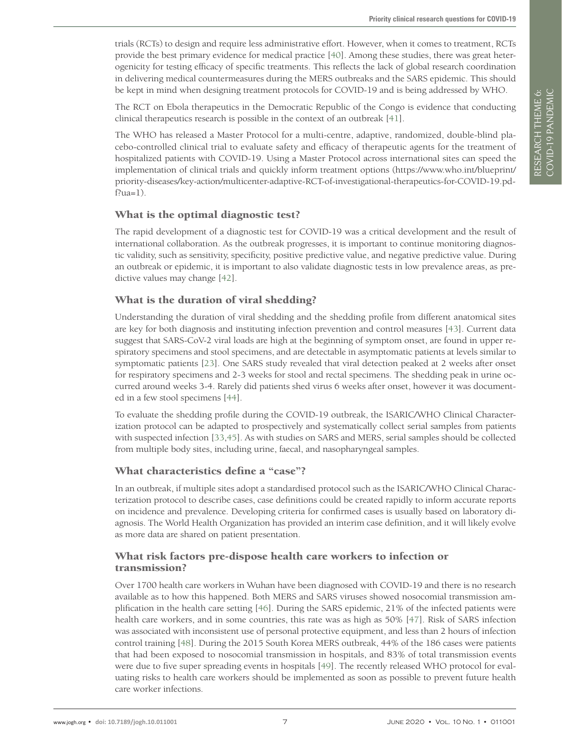trials (RCTs) to design and require less administrative effort. However, when it comes to treatment, RCTs provide the best primary evidence for medical practice [[40](#page-9-18)]. Among these studies, there was great heterogenicity for testing efficacy of specific treatments. This reflects the lack of global research coordination in delivering medical countermeasures during the MERS outbreaks and the SARS epidemic. This should be kept in mind when designing treatment protocols for COVID-19 and is being addressed by WHO.

The RCT on Ebola therapeutics in the Democratic Republic of the Congo is evidence that conducting clinical therapeutics research is possible in the context of an outbreak [\[41](#page-9-19)].

The WHO has released a Master Protocol for a multi-centre, adaptive, randomized, double-blind placebo-controlled clinical trial to evaluate safety and efficacy of therapeutic agents for the treatment of hospitalized patients with COVID-19. Using a Master Protocol across international sites can speed the implementation of clinical trials and quickly inform treatment options [\(https://www.who.int/blueprint/](https://www.who.int/blueprint/priority-diseases/key-action/multicenter-adaptive-RCT-of-investigational-therapeutics-for-COVID-19.pdf?ua=1) [priority-diseases/key-action/multicenter-adaptive-RCT-of-investigational-therapeutics-for-COVID-19.pd](https://www.who.int/blueprint/priority-diseases/key-action/multicenter-adaptive-RCT-of-investigational-therapeutics-for-COVID-19.pdf?ua=1) $f$ ?ua=1).

#### What is the optimal diagnostic test?

The rapid development of a diagnostic test for COVID-19 was a critical development and the result of international collaboration. As the outbreak progresses, it is important to continue monitoring diagnostic validity, such as sensitivity, specificity, positive predictive value, and negative predictive value. During an outbreak or epidemic, it is important to also validate diagnostic tests in low prevalence areas, as predictive values may change [[42](#page-9-20)].

# What is the duration of viral shedding?

Understanding the duration of viral shedding and the shedding profile from different anatomical sites are key for both diagnosis and instituting infection prevention and control measures [\[43](#page-9-21)]. Current data suggest that SARS-CoV-2 viral loads are high at the beginning of symptom onset, are found in upper respiratory specimens and stool specimens, and are detectable in asymptomatic patients at levels similar to symptomatic patients [[23](#page-9-2)]. One SARS study revealed that viral detection peaked at 2 weeks after onset for respiratory specimens and 2-3 weeks for stool and rectal specimens. The shedding peak in urine occurred around weeks 3-4. Rarely did patients shed virus 6 weeks after onset, however it was documented in a few stool specimens [\[44](#page-9-22)].

To evaluate the shedding profile during the COVID-19 outbreak, the ISARIC/WHO Clinical Characterization protocol can be adapted to prospectively and systematically collect serial samples from patients with suspected infection [[33,](#page-9-12)[45](#page-9-23)]. As with studies on SARS and MERS, serial samples should be collected from multiple body sites, including urine, faecal, and nasopharyngeal samples.

# What characteristics define a "case"?

In an outbreak, if multiple sites adopt a standardised protocol such as the ISARIC/WHO Clinical Characterization protocol to describe cases, case definitions could be created rapidly to inform accurate reports on incidence and prevalence. Developing criteria for confirmed cases is usually based on laboratory diagnosis. The World Health Organization has provided an interim case definition, and it will likely evolve as more data are shared on patient presentation.

# What risk factors pre-dispose health care workers to infection or transmission?

Over 1700 health care workers in Wuhan have been diagnosed with COVID-19 and there is no research available as to how this happened. Both MERS and SARS viruses showed nosocomial transmission amplification in the health care setting [[46](#page-9-24)]. During the SARS epidemic, 21% of the infected patients were health care workers, and in some countries, this rate was as high as 50% [\[47](#page-9-25)]. Risk of SARS infection was associated with inconsistent use of personal protective equipment, and less than 2 hours of infection control training [\[48](#page-9-26)]. During the 2015 South Korea MERS outbreak, 44% of the 186 cases were patients that had been exposed to nosocomial transmission in hospitals, and 83% of total transmission events were due to five super spreading events in hospitals [\[49\]](#page-9-27). The recently released WHO protocol for evaluating risks to health care workers should be implemented as soon as possible to prevent future health care worker infections.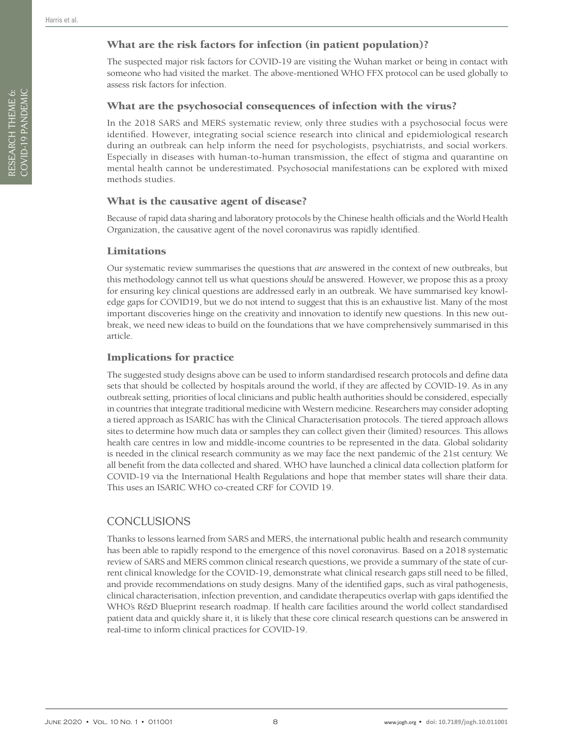RESEARCH THEME 6: COVID-19 PANDEMIC

RESEARCH THEME 6:<br>COVID-19 PANDEMIC

# What are the risk factors for infection (in patient population)?

The suspected major risk factors for COVID-19 are visiting the Wuhan market or being in contact with someone who had visited the market. The above-mentioned WHO FFX protocol can be used globally to assess risk factors for infection.

#### What are the psychosocial consequences of infection with the virus?

In the 2018 SARS and MERS systematic review, only three studies with a psychosocial focus were identified. However, integrating social science research into clinical and epidemiological research during an outbreak can help inform the need for psychologists, psychiatrists, and social workers. Especially in diseases with human-to-human transmission, the effect of stigma and quarantine on mental health cannot be underestimated. Psychosocial manifestations can be explored with mixed methods studies.

#### What is the causative agent of disease?

Because of rapid data sharing and laboratory protocols by the Chinese health officials and the World Health Organization, the causative agent of the novel coronavirus was rapidly identified.

#### Limitations

Our systematic review summarises the questions that *are* answered in the context of new outbreaks, but this methodology cannot tell us what questions *should* be answered. However, we propose this as a proxy for ensuring key clinical questions are addressed early in an outbreak. We have summarised key knowledge gaps for COVID19, but we do not intend to suggest that this is an exhaustive list. Many of the most important discoveries hinge on the creativity and innovation to identify new questions. In this new outbreak, we need new ideas to build on the foundations that we have comprehensively summarised in this article.

#### Implications for practice

The suggested study designs above can be used to inform standardised research protocols and define data sets that should be collected by hospitals around the world, if they are affected by COVID-19. As in any outbreak setting, priorities of local clinicians and public health authorities should be considered, especially in countries that integrate traditional medicine with Western medicine. Researchers may consider adopting a tiered approach as ISARIC has with the Clinical Characterisation protocols. The tiered approach allows sites to determine how much data or samples they can collect given their (limited) resources. This allows health care centres in low and middle-income countries to be represented in the data. Global solidarity is needed in the clinical research community as we may face the next pandemic of the 21st century. We all benefit from the data collected and shared. WHO have launched a clinical data collection platform for COVID-19 via the International Health Regulations and hope that member states will share their data. This uses an ISARIC WHO co-created CRF for COVID 19.

# **CONCLUSIONS**

Thanks to lessons learned from SARS and MERS, the international public health and research community has been able to rapidly respond to the emergence of this novel coronavirus. Based on a 2018 systematic review of SARS and MERS common clinical research questions, we provide a summary of the state of current clinical knowledge for the COVID-19, demonstrate what clinical research gaps still need to be filled, and provide recommendations on study designs. Many of the identified gaps, such as viral pathogenesis, clinical characterisation, infection prevention, and candidate therapeutics overlap with gaps identified the WHO's R&D Blueprint research roadmap. If health care facilities around the world collect standardised patient data and quickly share it, it is likely that these core clinical research questions can be answered in real-time to inform clinical practices for COVID-19.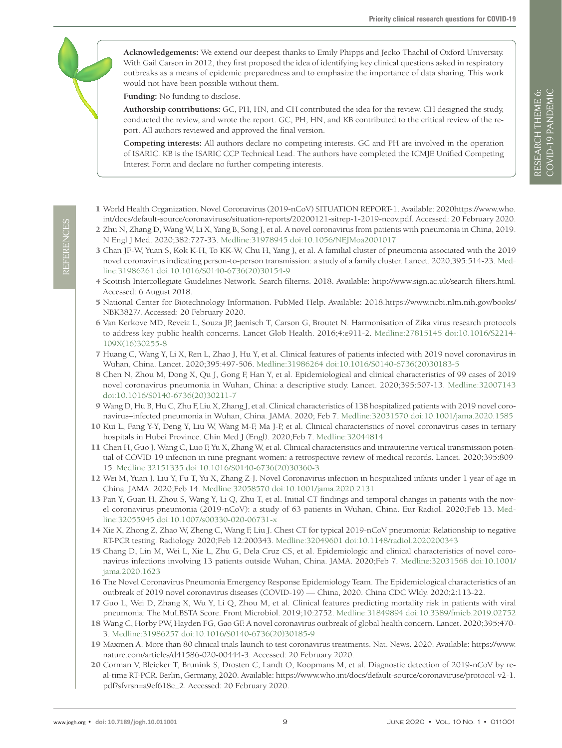**Acknowledgements:** We extend our deepest thanks to Emily Phipps and Jecko Thachil of Oxford University. With Gail Carson in 2012, they first proposed the idea of identifying key clinical questions asked in respiratory outbreaks as a means of epidemic preparedness and to emphasize the importance of data sharing. This work would not have been possible without them.

**Funding:** No funding to disclose.

**Authorship contributions:** GC, PH, HN, and CH contributed the idea for the review. CH designed the study, conducted the review, and wrote the report. GC, PH, HN, and KB contributed to the critical review of the report. All authors reviewed and approved the final version.

**Competing interests:** All authors declare no competing interests. GC and PH are involved in the operation of ISARIC. KB is the ISARIC CCP Technical Lead. The authors have completed the ICMJE Unified Competing Interest Form and declare no further competing interests.

- <span id="page-8-0"></span> 1 World Health Organization. Novel Coronavirus (2019-nCoV) SITUATION REPORT-1. Available: 2020https://www.who. int/docs/default-source/coronaviruse/situation-reports/20200121-sitrep-1-2019-ncov.pdf. Accessed: 20 February 2020.
- <span id="page-8-1"></span> 2 Zhu N, Zhang D, Wang W, Li X, Yang B, Song J, et al. A novel coronavirus from patients with pneumonia in China, 2019. N Engl J Med. 2020;382:727-33. [Medline:31978945](https://www.ncbi.nlm.nih.gov/entrez/query.fcgi?cmd=Retrieve&db=PubMed&list_uids=31978945&dopt=Abstract) [doi:10.1056/NEJMoa2001017](https://doi.org/10.1056/NEJMoa2001017)
- <span id="page-8-2"></span> 3 Chan JF-W, Yuan S, Kok K-H, To KK-W, Chu H, Yang J, et al. A familial cluster of pneumonia associated with the 2019 novel coronavirus indicating person-to-person transmission: a study of a family cluster. Lancet. 2020;395:514-23. [Med](https://www.ncbi.nlm.nih.gov/entrez/query.fcgi?cmd=Retrieve&db=PubMed&list_uids=31986261&dopt=Abstract)[line:31986261](https://www.ncbi.nlm.nih.gov/entrez/query.fcgi?cmd=Retrieve&db=PubMed&list_uids=31986261&dopt=Abstract) [doi:10.1016/S0140-6736\(20\)30154-9](https://doi.org/10.1016/S0140-6736(20)30154-9)
- <span id="page-8-3"></span> 4 Scottish Intercollegiate Guidelines Network. Search filterns. 2018. Available: http://www.sign.ac.uk/search-filters.html. Accessed: 6 August 2018.
- <span id="page-8-4"></span> 5 National Center for Biotechnology Information. PubMed Help. Available: 2018.https://www.ncbi.nlm.nih.gov/books/ NBK3827/. Accessed: 20 February 2020.
- <span id="page-8-5"></span> 6 Van Kerkove MD, Reveiz L, Souza JP, Jaenisch T, Carson G, Broutet N. Harmonisation of Zika virus research protocols to address key public health concerns. Lancet Glob Health. 2016;4:e911-2. [Medline:27815145](https://www.ncbi.nlm.nih.gov/entrez/query.fcgi?cmd=Retrieve&db=PubMed&list_uids=27815145&dopt=Abstract) [doi:10.1016/S2214-](https://doi.org/10.1016/S2214-109X(16)30255-8) [109X\(16\)30255-8](https://doi.org/10.1016/S2214-109X(16)30255-8)
- <span id="page-8-6"></span> 7 Huang C, Wang Y, Li X, Ren L, Zhao J, Hu Y, et al. Clinical features of patients infected with 2019 novel coronavirus in Wuhan, China. Lancet. 2020;395:497-506. [Medline:31986264](https://www.ncbi.nlm.nih.gov/entrez/query.fcgi?cmd=Retrieve&db=PubMed&list_uids=31986264&dopt=Abstract) [doi:10.1016/S0140-6736\(20\)30183-5](https://doi.org/10.1016/S0140-6736(20)30183-5)
- <span id="page-8-7"></span> 8 Chen N, Zhou M, Dong X, Qu J, Gong F, Han Y, et al. Epidemiological and clinical characteristics of 99 cases of 2019 novel coronavirus pneumonia in Wuhan, China: a descriptive study. Lancet. 2020;395:507-13. [Medline:32007143](https://www.ncbi.nlm.nih.gov/entrez/query.fcgi?cmd=Retrieve&db=PubMed&list_uids=32007143&dopt=Abstract) [doi:10.1016/S0140-6736\(20\)30211-7](https://doi.org/10.1016/S0140-6736(20)30211-7)
- 9 WangD, Hu B, Hu C, Zhu F, Liu X, Zhang J, et al. Clinical characteristics of 138 hospitalized patients with 2019 novel coronavirus–infected pneumonia in Wuhan, China. JAMA. 2020; Feb 7[. Medline:32031570](https://www.ncbi.nlm.nih.gov/entrez/query.fcgi?cmd=Retrieve&db=PubMed&list_uids=32031570&dopt=Abstract) [doi:10.1001/jama.2020.1585](https://doi.org/10.1001/jama.2020.1585)
- <span id="page-8-8"></span>10 Kui L, Fang Y-Y, Deng Y, Liu W, Wang M-F, Ma J-P, et al. Clinical characteristics of novel coronavirus cases in tertiary hospitals in Hubei Province. Chin Med J (Engl). 2020;Feb 7[. Medline:32044814](https://www.ncbi.nlm.nih.gov/entrez/query.fcgi?cmd=Retrieve&db=PubMed&list_uids=32044814&dopt=Abstract)
- <span id="page-8-9"></span>11 Chen H, Guo J, Wang C, Luo F, Yu X, Zhang W, et al. Clinical characteristics and intrauterine vertical transmission potential of COVID-19 infection in nine pregnant women: a retrospective review of medical records. Lancet. 2020;395:809- 15. [Medline:32151335](https://www.ncbi.nlm.nih.gov/entrez/query.fcgi?cmd=Retrieve&db=PubMed&list_uids=32151335&dopt=Abstract) [doi:10.1016/S0140-6736\(20\)30360-3](https://doi.org/10.1016/S0140-6736(20)30360-3)
- <span id="page-8-10"></span>12 Wei M, Yuan J, Liu Y, Fu T, Yu X, Zhang Z-J. Novel Coronavirus infection in hospitalized infants under 1 year of age in China. JAMA. 2020;Feb 14[. Medline:32058570](https://www.ncbi.nlm.nih.gov/entrez/query.fcgi?cmd=Retrieve&db=PubMed&list_uids=32058570&dopt=Abstract) [doi:10.1001/jama.2020.2131](https://doi.org/10.1001/jama.2020.2131)
- <span id="page-8-11"></span>13 Pan Y, Guan H, Zhou S, Wang Y, Li Q, Zhu T, et al. Initial CT findings and temporal changes in patients with the novel coronavirus pneumonia (2019-nCoV): a study of 63 patients in Wuhan, China. Eur Radiol. 2020;Feb 13[. Med](https://www.ncbi.nlm.nih.gov/entrez/query.fcgi?cmd=Retrieve&db=PubMed&list_uids=32055945&dopt=Abstract)[line:32055945](https://www.ncbi.nlm.nih.gov/entrez/query.fcgi?cmd=Retrieve&db=PubMed&list_uids=32055945&dopt=Abstract) [doi:10.1007/s00330-020-06731-x](https://doi.org/10.1007/s00330-020-06731-x)
- <span id="page-8-12"></span>14 Xie X, Zhong Z, Zhao W, Zheng C, Wang F, Liu J. Chest CT for typical 2019-nCoV pneumonia: Relationship to negative RT-PCR testing. Radiology. 2020;Feb 12:200343. [Medline:32049601](https://www.ncbi.nlm.nih.gov/entrez/query.fcgi?cmd=Retrieve&db=PubMed&list_uids=32049601&dopt=Abstract) [doi:10.1148/radiol.2020200343](https://doi.org/10.1148/radiol.2020200343)
- <span id="page-8-13"></span>15 Chang D, Lin M, Wei L, Xie L, Zhu G, Dela Cruz CS, et al. Epidemiologic and clinical characteristics of novel coronavirus infections involving 13 patients outside Wuhan, China. JAMA. 2020;Feb 7[. Medline:32031568](https://www.ncbi.nlm.nih.gov/entrez/query.fcgi?cmd=Retrieve&db=PubMed&list_uids=32031568&dopt=Abstract) [doi:10.1001/](https://doi.org/10.1001/jama.2020.1623) [jama.2020.1623](https://doi.org/10.1001/jama.2020.1623)
- <span id="page-8-14"></span>16 The Novel Coronavirus Pneumonia Emergency Response Epidemiology Team. The Epidemiological characteristics of an outbreak of 2019 novel coronavirus diseases (COVID-19) — China, 2020. China CDC Wkly. 2020;2:113-22.
- <span id="page-8-15"></span>17 Guo L, Wei D, Zhang X, Wu Y, Li Q, Zhou M, et al. Clinical features predicting mortality risk in patients with viral pneumonia: The MuLBSTA Score. Front Microbiol. 2019;10:2752. [Medline:31849894](https://www.ncbi.nlm.nih.gov/entrez/query.fcgi?cmd=Retrieve&db=PubMed&list_uids=31849894&dopt=Abstract) [doi:10.3389/fmicb.2019.02752](https://doi.org/10.3389/fmicb.2019.02752)
- <span id="page-8-16"></span>18 Wang C, Horby PW, Hayden FG, Gao GF. A novel coronavirus outbreak of global health concern. Lancet. 2020;395:470- 3. [Medline:31986257](https://www.ncbi.nlm.nih.gov/entrez/query.fcgi?cmd=Retrieve&db=PubMed&list_uids=31986257&dopt=Abstract) [doi:10.1016/S0140-6736\(20\)30185-9](https://doi.org/10.1016/S0140-6736(20)30185-9)
- <span id="page-8-17"></span>19 Maxmen A. More than 80 clinical trials launch to test coronavirus treatments. Nat. News. 2020. Available: https://www. nature.com/articles/d41586-020-00444-3. Accessed: 20 February 2020.
- <span id="page-8-18"></span>20 Corman V, Bleicker T, Brunink S, Drosten C, Landt O, Koopmans M, et al. Diagnostic detection of 2019-nCoV by real-time RT-PCR. Berlin, Germany, 2020. Available: https://www.who.int/docs/default-source/coronaviruse/protocol-v2-1. pdf?sfvrsn=a9ef618c\_2. Accessed: 20 February 2020.